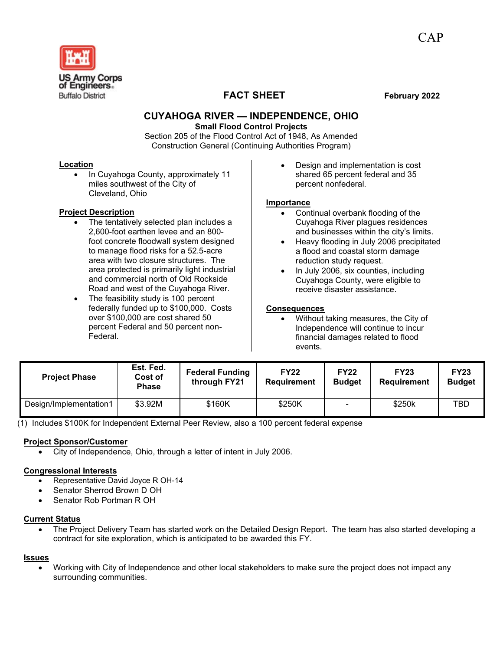

# **FACT SHEET February 2022**

## **CUYAHOGA RIVER — INDEPENDENCE, OHIO**

**Small Flood Control Projects**

Section 205 of the Flood Control Act of 1948, As Amended Construction General (Continuing Authorities Program)

#### **Location**

• In Cuyahoga County, approximately 11 miles southwest of the City of Cleveland, Ohio

### **Project Description**

- The tentatively selected plan includes a 2,600-foot earthen levee and an 800 foot concrete floodwall system designed to manage flood risks for a 52.5-acre area with two closure structures. The area protected is primarily light industrial and commercial north of Old Rockside Road and west of the Cuyahoga River.
- The feasibility study is 100 percent federally funded up to \$100,000. Costs over \$100,000 are cost shared 50 percent Federal and 50 percent non-Federal.

• Design and implementation is cost shared 65 percent federal and 35 percent nonfederal.

#### **Importance**

- Continual overbank flooding of the Cuyahoga River plagues residences and businesses within the city's limits.
- Heavy flooding in July 2006 precipitated a flood and coastal storm damage reduction study request.
- In July 2006, six counties, including Cuyahoga County, were eligible to receive disaster assistance.

#### **Consequences**

• Without taking measures, the City of Independence will continue to incur financial damages related to flood events.

| <b>Project Phase</b>   | Est. Fed.<br>Cost of<br><b>Phase</b> | <b>Federal Funding</b><br>through FY21 | <b>FY22</b><br>Requirement | <b>FY22</b><br><b>Budget</b> | <b>FY23</b><br><b>Requirement</b> | <b>FY23</b><br><b>Budget</b> |
|------------------------|--------------------------------------|----------------------------------------|----------------------------|------------------------------|-----------------------------------|------------------------------|
| Design/Implementation1 | \$3.92M                              | \$160K                                 | \$250K                     | $\overline{a}$               | \$250k                            | TBD                          |

(1) Includes \$100K for Independent External Peer Review, also a 100 percent federal expense

#### **Project Sponsor/Customer**

• City of Independence, Ohio, through a letter of intent in July 2006.

#### **Congressional Interests**

- Representative David Joyce R OH-14
- Senator Sherrod Brown D OH
- Senator Rob Portman R OH

#### **Current Status**

• The Project Delivery Team has started work on the Detailed Design Report. The team has also started developing a contract for site exploration, which is anticipated to be awarded this FY.

#### **Issues**

• Working with City of Independence and other local stakeholders to make sure the project does not impact any surrounding communities.